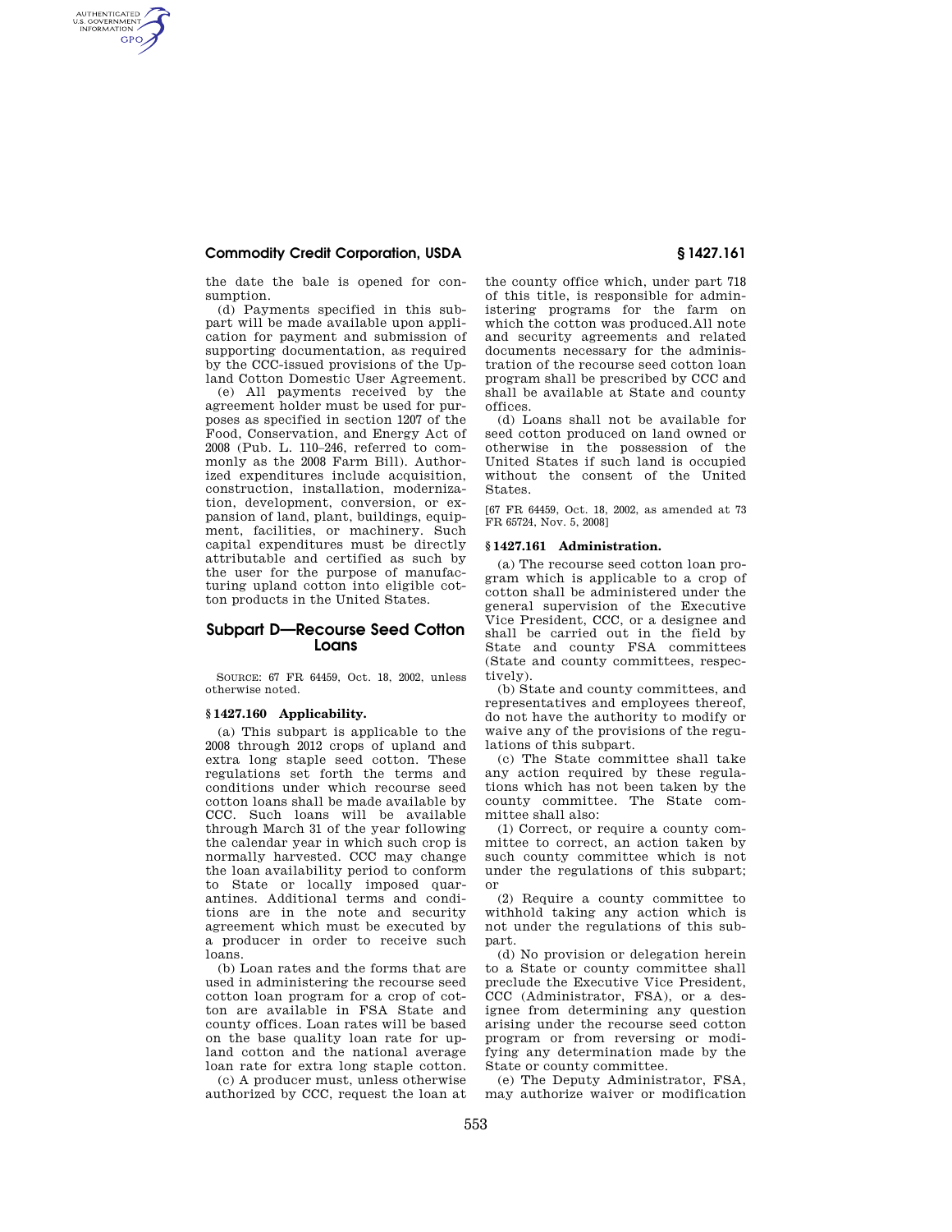## **Commodity Credit Corporation, USDA § 1427.161**

AUTHENTICATED<br>U.S. GOVERNMENT<br>INFORMATION **GPO** 

> the date the bale is opened for consumption.

> (d) Payments specified in this subpart will be made available upon application for payment and submission of supporting documentation, as required by the CCC-issued provisions of the Upland Cotton Domestic User Agreement.

> (e) All payments received by the agreement holder must be used for purposes as specified in section 1207 of the Food, Conservation, and Energy Act of 2008 (Pub. L. 110–246, referred to commonly as the 2008 Farm Bill). Authorized expenditures include acquisition, construction, installation, modernization, development, conversion, or expansion of land, plant, buildings, equipment, facilities, or machinery. Such capital expenditures must be directly attributable and certified as such by the user for the purpose of manufacturing upland cotton into eligible cotton products in the United States.

# **Subpart D—Recourse Seed Cotton Loans**

SOURCE: 67 FR 64459, Oct. 18, 2002, unless otherwise noted.

### **§ 1427.160 Applicability.**

(a) This subpart is applicable to the 2008 through 2012 crops of upland and extra long staple seed cotton. These regulations set forth the terms and conditions under which recourse seed cotton loans shall be made available by CCC. Such loans will be available through March 31 of the year following the calendar year in which such crop is normally harvested. CCC may change the loan availability period to conform to State or locally imposed quarantines. Additional terms and conditions are in the note and security agreement which must be executed by a producer in order to receive such loans.

(b) Loan rates and the forms that are used in administering the recourse seed cotton loan program for a crop of cotton are available in FSA State and county offices. Loan rates will be based on the base quality loan rate for upland cotton and the national average loan rate for extra long staple cotton.

(c) A producer must, unless otherwise authorized by CCC, request the loan at

the county office which, under part 718 of this title, is responsible for administering programs for the farm on which the cotton was produced.All note and security agreements and related documents necessary for the administration of the recourse seed cotton loan program shall be prescribed by CCC and shall be available at State and county offices.

(d) Loans shall not be available for seed cotton produced on land owned or otherwise in the possession of the United States if such land is occupied without the consent of the United States.

[67 FR 64459, Oct. 18, 2002, as amended at 73 FR 65724, Nov. 5, 2008]

### **§ 1427.161 Administration.**

(a) The recourse seed cotton loan program which is applicable to a crop of cotton shall be administered under the general supervision of the Executive Vice President, CCC, or a designee and shall be carried out in the field by State and county FSA committees (State and county committees, respectively).

(b) State and county committees, and representatives and employees thereof, do not have the authority to modify or waive any of the provisions of the regulations of this subpart.

(c) The State committee shall take any action required by these regulations which has not been taken by the county committee. The State committee shall also:

(1) Correct, or require a county committee to correct, an action taken by such county committee which is not under the regulations of this subpart; or

(2) Require a county committee to withhold taking any action which is not under the regulations of this subpart.

(d) No provision or delegation herein to a State or county committee shall preclude the Executive Vice President, CCC (Administrator, FSA), or a designee from determining any question arising under the recourse seed cotton program or from reversing or modifying any determination made by the State or county committee.

(e) The Deputy Administrator, FSA, may authorize waiver or modification